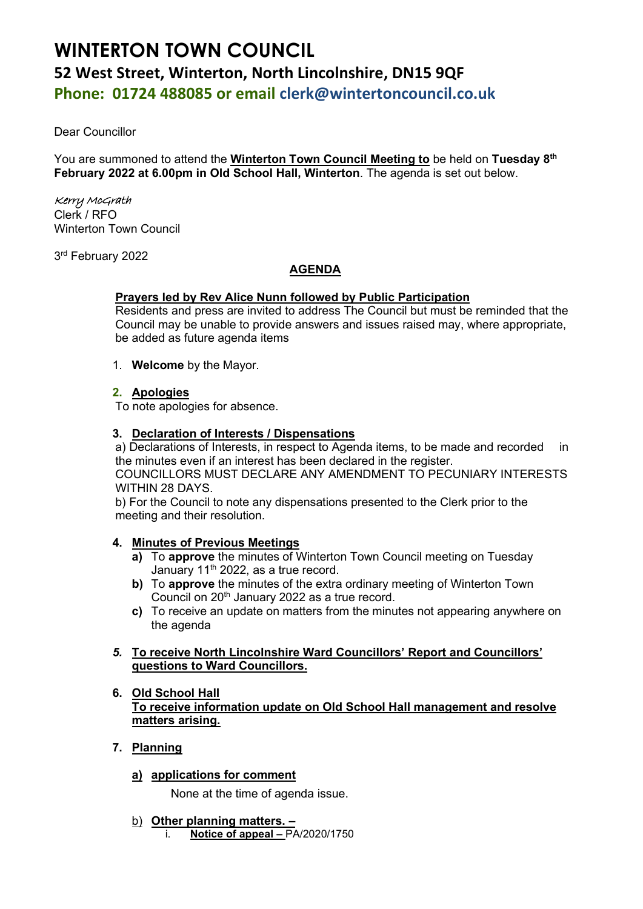# **WINTERTON TOWN COUNCIL 52 West Street, Winterton, North Lincolnshire, DN15 9QF Phone: 01724 488085 or email clerk@wintertoncouncil.co.uk**

Dear Councillor

You are summoned to attend the **Winterton Town Council Meeting to** be held on **Tuesday 8 th February 2022 at 6.00pm in Old School Hall, Winterton**. The agenda is set out below.

## Kerry McGrath

Clerk / RFO Winterton Town Council

3 rd February 2022

## **AGENDA**

## **Prayers led by Rev Alice Nunn followed by Public Participation**

Residents and press are invited to address The Council but must be reminded that the Council may be unable to provide answers and issues raised may, where appropriate, be added as future agenda items

1. **Welcome** by the Mayor.

## **2. Apologies**

To note apologies for absence.

## **3. Declaration of Interests / Dispensations**

a) Declarations of Interests, in respect to Agenda items, to be made and recorded in the minutes even if an interest has been declared in the register. COUNCILLORS MUST DECLARE ANY AMENDMENT TO PECUNIARY INTERESTS WITHIN 28 DAYS.

b) For the Council to note any dispensations presented to the Clerk prior to the meeting and their resolution.

## **4. Minutes of Previous Meetings**

- **a)** To **approve** the minutes of Winterton Town Council meeting on Tuesday January 11<sup>th</sup> 2022, as a true record.
- **b)** To **approve** the minutes of the extra ordinary meeting of Winterton Town Council on 20<sup>th</sup> January 2022 as a true record.
- **c)** To receive an update on matters from the minutes not appearing anywhere on the agenda

## *5.* **To receive North Lincolnshire Ward Councillors' Report and Councillors' questions to Ward Councillors.**

#### **6. Old School Hall To receive information update on Old School Hall management and resolve matters arising.**

- **7. Planning**
	- **a) applications for comment**

None at the time of agenda issue.

- b) **Other planning matters. –**
	- i. **Notice of appeal –** PA/2020/1750